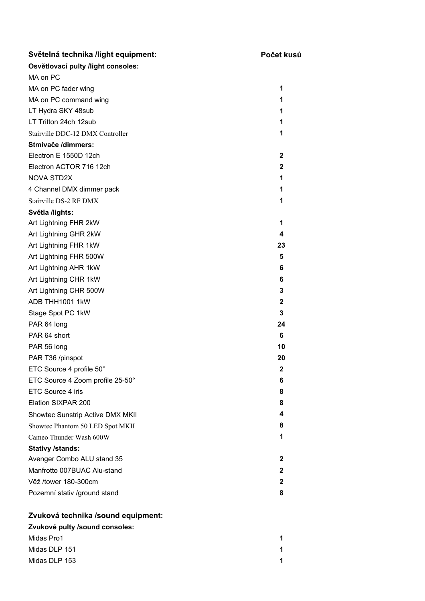| Světelná technika /light equipment: | Počet kusů   |
|-------------------------------------|--------------|
| Osvětlovací pulty /light consoles:  |              |
| MA on PC                            |              |
| MA on PC fader wing                 | 1            |
| MA on PC command wing               | 1            |
| LT Hydra SKY 48sub                  | 1            |
| LT Tritton 24ch 12sub               | 1            |
| Stairville DDC-12 DMX Controller    | 1            |
| Stmívače /dimmers:                  |              |
| Electron E 1550D 12ch               | 2            |
| Electron ACTOR 716 12ch             | $\mathbf{2}$ |
| <b>NOVA STD2X</b>                   | 1            |
| 4 Channel DMX dimmer pack           | 1            |
| Stairville DS-2 RF DMX              | 1            |
| Světla /lights:                     |              |
| Art Lightning FHR 2kW               | 1            |
| Art Lightning GHR 2kW               | 4            |
| Art Lightning FHR 1kW               | 23           |
| Art Lightning FHR 500W              | 5            |
| Art Lightning AHR 1kW               | 6            |
| Art Lightning CHR 1kW               | 6            |
| Art Lightning CHR 500W              | 3            |
| ADB THH1001 1kW                     | $\mathbf 2$  |
| Stage Spot PC 1kW                   | 3            |
| PAR 64 long                         | 24           |
| PAR 64 short                        | 6            |
| PAR 56 long                         | 10           |
| PAR T36 /pinspot                    | 20           |
| ETC Source 4 profile 50°            | $\mathbf{2}$ |
| ETC Source 4 Zoom profile 25-50°    | 6            |
| ETC Source 4 iris                   | 8            |
| Elation SIXPAR 200                  | 8            |
| Showtec Sunstrip Active DMX MKII    | 4            |
| Showtec Phantom 50 LED Spot MKII    | 8            |
| Cameo Thunder Wash 600W             | 1            |
| <b>Stativy /stands:</b>             |              |
| Avenger Combo ALU stand 35          | $\mathbf{2}$ |
| Manfrotto 007BUAC Alu-stand         | $\mathbf{2}$ |
| Věž /tower 180-300cm                | $\mathbf{2}$ |
| Pozemní stativ /ground stand        | 8            |
| Zvuková technika /sound equipment:  |              |
| Zvukové pulty /sound consoles:      |              |
| Midas Pro1                          | 1            |
| Midas DLP 151                       | 1            |

Midas DLP 153 **1**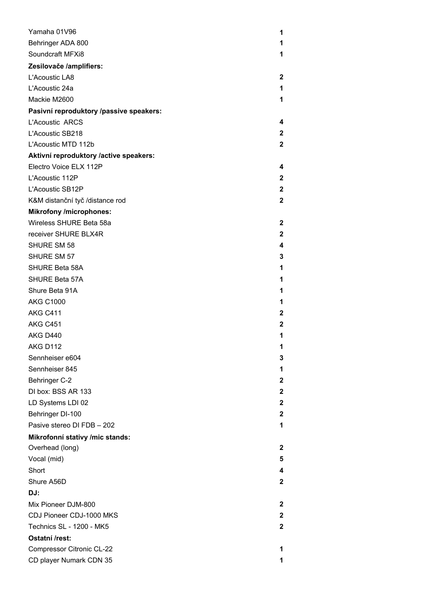| Yamaha 01V96                            | 1            |
|-----------------------------------------|--------------|
| Behringer ADA 800                       | 1            |
| Soundcraft MFXi8                        | 1            |
| Zesilovače /amplifiers:                 |              |
| L'Acoustic LA8                          | 2            |
| L'Acoustic 24a                          | 1            |
| Mackie M2600                            | 1            |
| Pasivní reproduktory /passive speakers: |              |
| L'Acoustic ARCS                         | 4            |
| L'Acoustic SB218                        | 2            |
| L'Acoustic MTD 112b                     | $\mathbf{2}$ |
| Aktivní reproduktory /active speakers:  |              |
| Electro Voice ELX 112P                  | 4            |
| L'Acoustic 112P                         | 2            |
| L'Acoustic SB12P                        | $\mathbf 2$  |
| K&M distanční tyč /distance rod         | 2            |
| <b>Mikrofony /microphones:</b>          |              |
| Wireless SHURE Beta 58a                 | $\mathbf{2}$ |
| receiver SHURE BLX4R                    | $\mathbf{2}$ |
| <b>SHURE SM 58</b>                      | 4            |
| SHURE SM 57                             | 3            |
| SHURE Beta 58A                          | 1            |
| <b>SHURE Beta 57A</b>                   | 1            |
| Shure Beta 91A                          | 1            |
| <b>AKG C1000</b>                        | 1            |
| AKG C411                                | 2            |
| AKG C451                                | 2            |
| AKG D440                                | 1            |
| AKG D112                                | 1            |
| Sennheiser e604                         | 3            |
| Sennheiser 845                          | 1            |
| <b>Behringer C-2</b>                    | 2            |
| DI box: BSS AR 133                      | $\mathbf{2}$ |
| LD Systems LDI 02                       | $\mathbf{2}$ |
| Behringer DI-100                        | $\mathbf{2}$ |
| Pasive stereo DI FDB - 202              | 1            |
| Mikrofonní stativy /mic stands:         |              |
| Overhead (long)                         | 2            |
| Vocal (mid)                             | 5            |
| Short                                   | 4            |
| Shure A56D                              | $\mathbf{2}$ |
| DJ:                                     |              |
| Mix Pioneer DJM-800                     | 2            |
| CDJ Pioneer CDJ-1000 MKS                | 2            |
| Technics SL - 1200 - MK5                | $\mathbf{2}$ |
| Ostatní /rest:                          |              |
| Compressor Citronic CL-22               | 1            |
| CD player Numark CDN 35                 | 1            |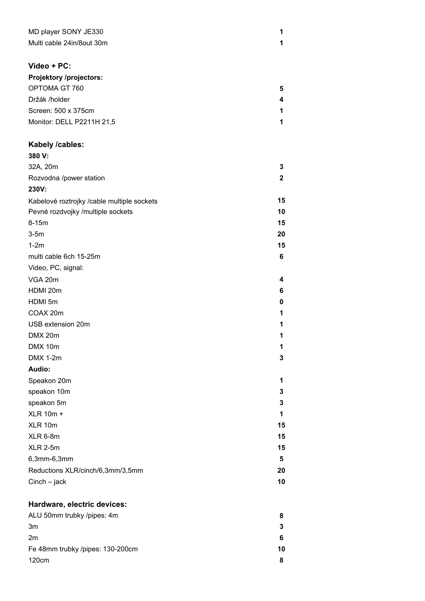| MD player SONY JE330      |  |
|---------------------------|--|
| Multi cable 24in/8out 30m |  |

## **Video + PC:**

| 5 |
|---|
| 4 |
| 1 |
|   |
|   |

## **Kabely /cables:**

| 380 V:                                     |              |
|--------------------------------------------|--------------|
| 32A, 20m                                   | 3            |
| Rozvodna /power station                    | $\mathbf{2}$ |
| 230V:                                      |              |
| Kabelové roztrojky /cable multiple sockets | 15           |
| Pevné rozdvojky /multiple sockets          | 10           |
| 8-15m                                      | 15           |
| $3-5m$                                     | 20           |
| $1-2m$                                     | 15           |
| multi cable 6ch 15-25m                     | 6            |
| Video, PC, signal:                         |              |
| VGA 20m                                    | 4            |
| HDMI 20m                                   | 6            |
| HDMI 5m                                    | 0            |
| COAX 20m                                   | 1            |
| USB extension 20m                          | 1            |
| DMX 20m                                    | 1            |
| DMX 10m                                    | 1            |
| <b>DMX 1-2m</b>                            | 3            |
| Audio:                                     |              |
| Speakon 20m                                | 1            |
| speakon 10m                                | 3            |
| speakon 5m                                 | 3            |
| <b>XLR 10m +</b>                           | 1            |
| XLR 10m                                    | 15           |
| XLR 6-8m                                   | 15           |
| <b>XLR 2-5m</b>                            | 15           |
| 6,3mm-6,3mm                                | 5            |
| Reductions XLR/cinch/6,3mm/3,5mm           | 20           |
| $Cinch - jack$                             | 10           |

## **Hardware, electric devices:**

| ALU 50mm trubky /pipes: 4m       |    |
|----------------------------------|----|
| 3m                               |    |
| 2m                               | 6  |
| Fe 48mm trubky /pipes: 130-200cm | 10 |
| 120cm                            |    |